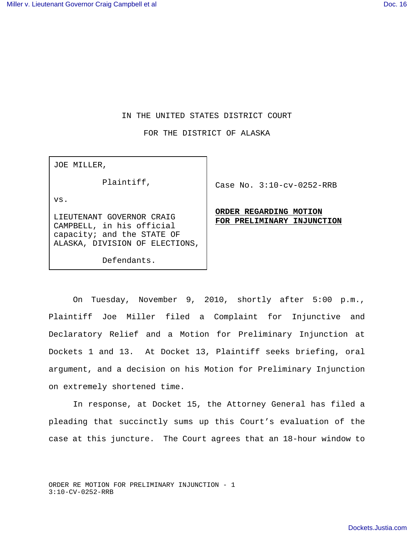## IN THE UNITED STATES DISTRICT COURT

FOR THE DISTRICT OF ALASKA

JOE MILLER,

Plaintiff,

vs.

LIEUTENANT GOVERNOR CRAIG CAMPBELL, in his official capacity; and the STATE OF ALASKA, DIVISION OF ELECTIONS,

Defendants.

Case No. 3:10-cv-0252-RRB

**ORDER REGARDING MOTION FOR PRELIMINARY INJUNCTION**

On Tuesday, November 9, 2010, shortly after 5:00 p.m., Plaintiff Joe Miller filed a Complaint for Injunctive and Declaratory Relief and a Motion for Preliminary Injunction at Dockets 1 and 13. At Docket 13, Plaintiff seeks briefing, oral argument, and a decision on his Motion for Preliminary Injunction on extremely shortened time.

 In response, at Docket 15, the Attorney General has filed a pleading that succinctly sums up this Court's evaluation of the case at this juncture. The Court agrees that an 18-hour window to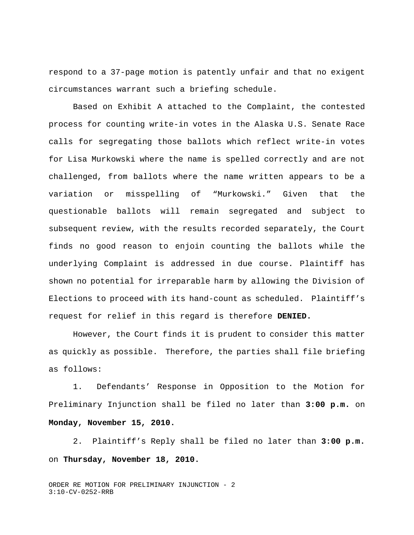respond to a 37-page motion is patently unfair and that no exigent circumstances warrant such a briefing schedule.

Based on Exhibit A attached to the Complaint, the contested process for counting write-in votes in the Alaska U.S. Senate Race calls for segregating those ballots which reflect write-in votes for Lisa Murkowski where the name is spelled correctly and are not challenged, from ballots where the name written appears to be a variation or misspelling of "Murkowski." Given that the questionable ballots will remain segregated and subject to subsequent review, with the results recorded separately, the Court finds no good reason to enjoin counting the ballots while the underlying Complaint is addressed in due course. Plaintiff has shown no potential for irreparable harm by allowing the Division of Elections to proceed with its hand-count as scheduled. Plaintiff's request for relief in this regard is therefore **DENIED.**

However, the Court finds it is prudent to consider this matter as quickly as possible. Therefore, the parties shall file briefing as follows:

1. Defendants' Response in Opposition to the Motion for Preliminary Injunction shall be filed no later than **3:00 p.m.** on **Monday, November 15, 2010.**

2. Plaintiff's Reply shall be filed no later than **3:00 p.m.** on **Thursday, November 18, 2010.**